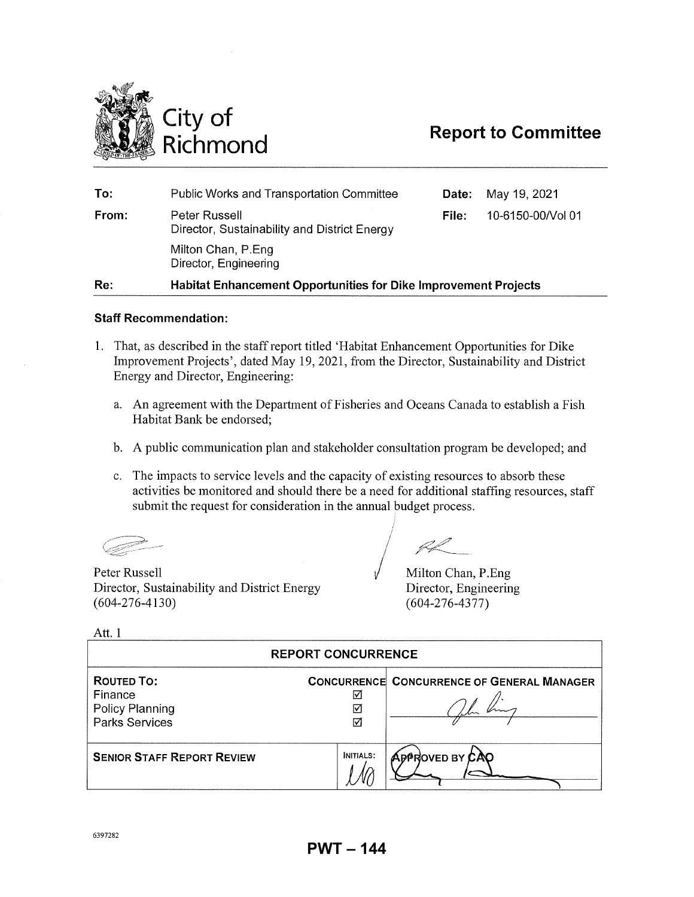

| To:   | <b>Public Works and Transportation Committee</b>                       | Date: | May 19, 2021      |
|-------|------------------------------------------------------------------------|-------|-------------------|
| From: | Peter Russell<br>Director, Sustainability and District Energy          | File: | 10-6150-00/Vol 01 |
|       | Milton Chan, P.Eng<br>Director, Engineering                            |       |                   |
| Re:   | <b>Habitat Enhancement Opportunities for Dike Improvement Projects</b> |       |                   |

# **Staff Recommendation:**

- 1. That, as described in the staff report titled 'Habitat Enhancement Opportunities for Dike Improvement Projects', dated May 19, 2021, from the Director, Sustainability and District Energy and Director, Engineering:
	- a. An agreement with the Department of Fisheries and Oceans Canada to establish a Fish Habitat Bank be endorsed;
	- b. A public communication plan and stakeholder consultation program be developed; and
	- c. The impacts to service levels and the capacity of existing resources to absorb these activities be monitored and should there be a need for additional staffing resources, staff submit the request for consideration in the annual budget process.

Peter Russell Director, Sustainability and District Energy (604-276-4130)

Milton Chan, P.Eng Director, Engineering (604-276-4377)

Att. 1

| <b>REPORT CONCURRENCE</b>                                                |                  |                                                   |  |
|--------------------------------------------------------------------------|------------------|---------------------------------------------------|--|
| <b>ROUTED TO:</b><br>Finance<br>Policy Planning<br><b>Parks Services</b> | ∇<br>⊽<br>☑      | <b>CONCURRENCE CONCURRENCE OF GENERAL MANAGER</b> |  |
| <b>SENIOR STAFF REPORT REVIEW</b>                                        | <b>INITIALS:</b> | APPROVED BY CAO                                   |  |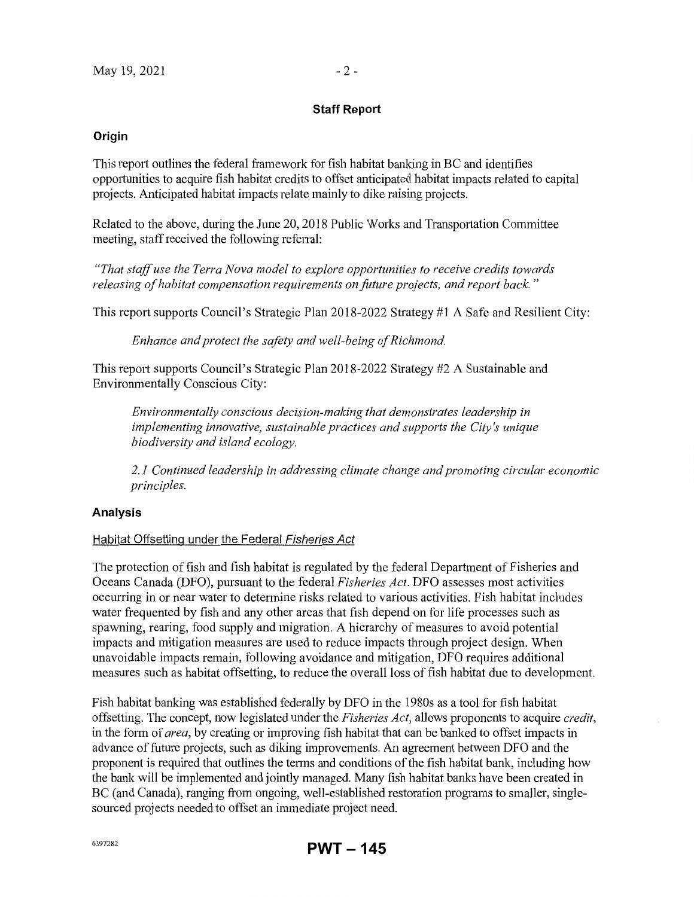# **Staff Report**

### **Origin**

This report outlines the federal framework for fish habitat banking in BC and identifies opportunities to acquire fish habitat credits to offset anticipated habitat impacts related to capital projects. Anticipated habitat impacts relate mainly to dike raising projects.

Related to the above, during the June 20, 2018 Public Works and Transportation Committee meeting, staff received the following refenal:

*"That staff use the Terra Nova model to explore opportunities to receive credits towards releasing of habitat compensation requirements on fitture projects, and report back.* "

This report supports Council's Strategic Plan 2018-2022 Strategy #1 A Safe and Resilient City:

*Enhance and protect the safety and well-being of Richmond.* 

This report supports Council's Strategic Plan 2018-2022 Strategy #2 A Sustainable and Enviromnentally Conscious City:

*Environmentally conscious decision-making that demonstrates leadership in implementing innovative, sustainable practices and supports the City's unique biodiversity and island ecology.* 

*2. 1 Continued leadership in addressing climate change and promoting circular economic principles.* 

### **Analysis**

### Habitat Offsetting under the Federal Fisheries Act

The protection of fish and fish habitat is regulated by the federal Department of Fisheries and Oceans Canada (DFO), pursuant to the federal *Fisheries Act.* DFO assesses most activities occurring in or near water to determine risks related to various activities. Fish habitat includes water frequented by fish and any other areas that fish depend on for life processes such as spawning, rearing, food supply and migration. A hierarchy of measures to avoid potential impacts and mitigation measures are used to reduce impacts through project design. When unavoidable impacts remain, following avoidance and mitigation, DFO requires additional measures such as habitat offsetting, to reduce the overall loss of fish habitat due to development.

Fish habitat banking was established federally by DFO in the 1980s as a tool for fish habitat offsetting. The concept, now legislated under the *Fisheries Act,* allows proponents to acquire *credit,*  in the fonn of *area,* by creating or improving fish habitat that can be banked to offset impacts in advance of future projects, such as diking improvements. An agreement between DFO and the proponent is required that outlines the tenns and conditions of the fish habitat bank, including how the bank will be implemented and jointly managed. Many fish habitat banks have been created in BC (and Canada), ranging from ongoing, well-established restoration programs to smaller, singlesourced projects needed to offset an immediate project need.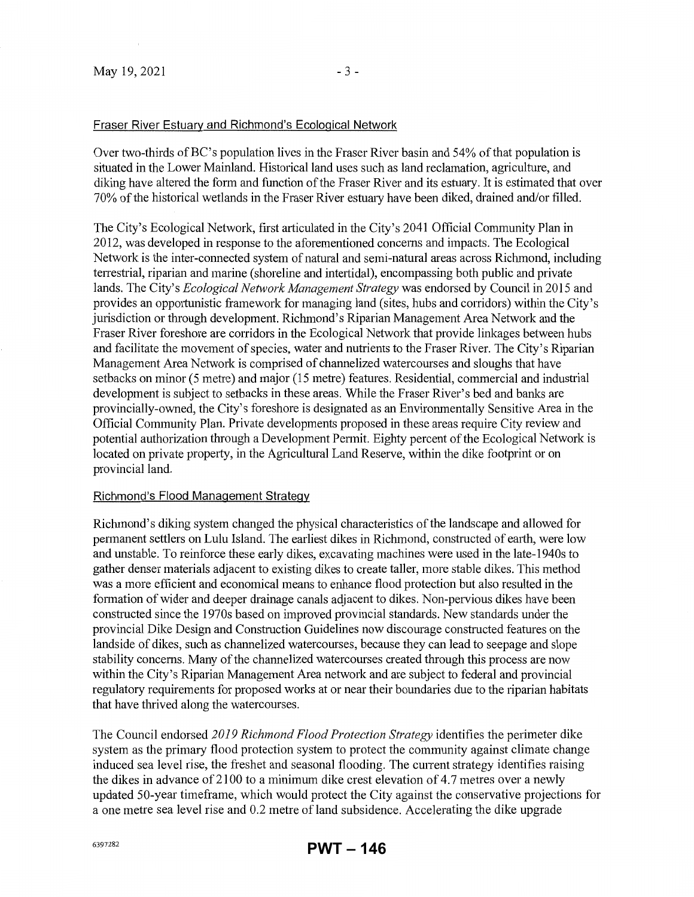# Fraser River Estuary and Richmond's Ecological Network

Over two-thirds ofBC's population lives in the Fraser River basin and 54% of that population is situated in the Lower Mainland. Historical land uses such as land reclamation, agriculture, and diking have altered the form and function of the Fraser River and its estuary. It is estimated that over 70% of the historical wetlands in the Fraser River estuary have been diked, drained and/or filled.

The City's Ecological Network, first articulated in the City's 2041 Official Community Plan in 2012, was developed in response to the aforementioned concerns and impacts. The Ecological Network is the inter-connected system of natural and semi-natural areas across Richmond, including terrestrial, riparian and marine (shoreline and intertidal), encompassing both public and private lands. The City's *Ecological Network Management Strategy* was endorsed by Council in 2015 and provides an opportunistic framework for managing land (sites, hubs and corridors) within the City's jurisdiction or through development. Richmond's Riparian Management Area Network and the Fraser River foreshore are corridors in the Ecological Network that provide linkages between hubs and facilitate the movement of species, water and nutrients to the Fraser River. The City's Riparian Management Area Network is comprised of channelized watercourses and sloughs that have setbacks on minor (5 metre) and major (15 metre) features. Residential, commercial and industrial development is subject to setbacks in these areas. While the Fraser River's bed and banks are provincially-owned, the City's foreshore is designated as an Environmentally Sensitive Area in the Official Community Plan. Private developments proposed in these areas require City review and potential authorization through a Development Pennit. Eighty percent of the Ecological Network is located on private property, in the Agricultural Land Reserve, within the dike footprint or on provincial land.

# Richmond's Flood Management Strategy

Richmond's diking system changed the physical characteristics of the landscape and allowed for permanent settlers on Lulu Island. The earliest dikes in Richmond, constructed of earth, were low and unstable. To reinforce these early dikes, excavating machines were used in the late-1940s to gather denser materials adjacent to existing dikes to create taller, more stable dikes. This method was a more efficient and economical means to enhance flood protection but also resulted in the fonnation of wider and deeper drainage canals adjacent to dikes. Non-pervious dikes have been constructed since the 1970s based on improved provincial standards. New standards under the provincial Dike Design and Construction Guidelines now discourage constructed features on the landside of dikes, such as channelized watercourses, because they can lead to seepage and slope stability concerns. Many of the channelized watercourses created through this process are now within the City's Riparian Management Area network and are subject to federal and provincial regulatory requirements for proposed works at or near their boundaries due to the riparian habitats that have thrived along the watercourses.

The Council endorsed *2019 Richmond Flood Protection Strategy* identifies the perimeter dike system as the primary flood protection system to protect the community against climate change induced sea level rise, the freshet and seasonal flooding. The current strategy identifies raising the dikes in advance of2100 to a minimum dike crest elevation of 4.7 metres over a newly updated 50-year timeframe, which would protect the City against the conservative projections for a one metre sea level rise and 0.2 metre of land subsidence. Accelerating the dike upgrade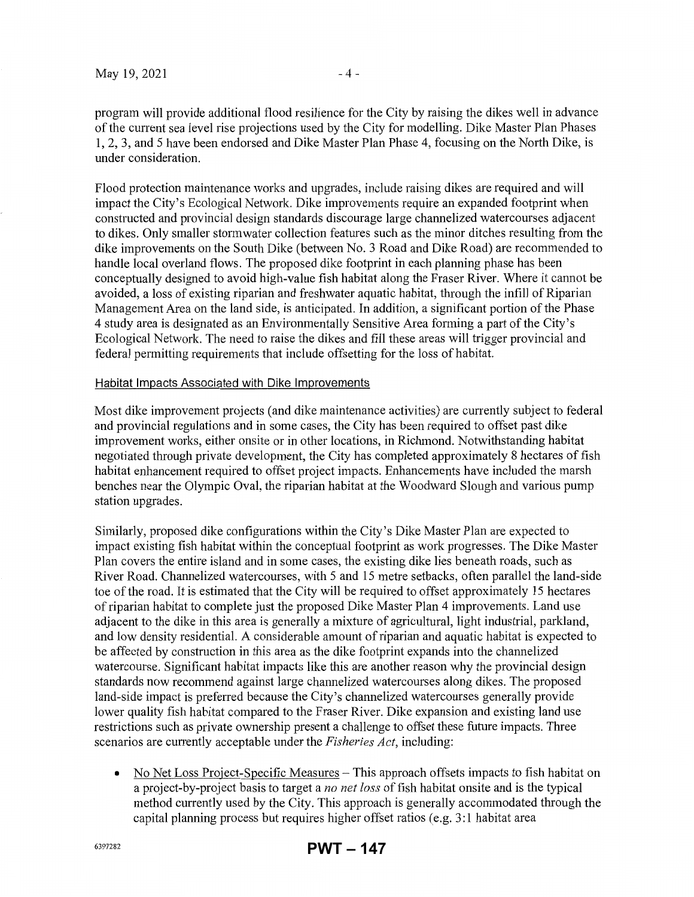program will provide additional flood resilience for the City by raising the dikes well in advance of the current sea level rise projections used by the City for modelling. Dike Master Plan Phases 1, 2, 3, and 5 have been endorsed and Dike Master Plan Phase 4, focusing on the North Dike, is under consideration.

Flood protection maintenance works and upgrades, include raising dikes are required and will impact the City's Ecological Network. Dike improvements require an expanded footprint when constructed and provincial design standards discourage large channelized watercourses adjacent to dikes. Only smaller stormwater collection features such as the minor ditches resulting from the dike improvements on the South Dike (between No. 3 Road and Dike Road) are recommended to handle local overland flows. The proposed dike footprint in each planning phase has been conceptually designed to avoid high-value fish habitat along the Fraser River. Where it cannot be avoided, a loss of existing riparian and freshwater aquatic habitat, through the infill of Riparian Management Area on the land side, is anticipated. In addition, a significant portion of the Phase 4 study area is designated as an Environmentally Sensitive Area forming a part of the City's Ecological Network. The need to raise the dikes and fill these areas will trigger provincial and federal pennitting requirements that include offsetting for the loss of habitat.

#### Habitat Impacts Associated with Dike Improvements

Most dike improvement projects (and dike maintenance activities) are currently subject to federal and provincial regulations and in some cases, the City has been required to offset past dike improvement works, either onsite or in other locations, in Richmond. Notwithstanding habitat negotiated through private development, the City has completed approximately 8 hectares of fish habitat enhancement required to offset project impacts. Enhancements have included the marsh benches near the Olympic Oval, the riparian habitat at the Woodward Slough and various pump station upgrades.

Similarly, proposed dike configurations within the City's Dike Master Plan are expected to impact existing fish habitat within the conceptual footprint as work progresses. The Dike Master Plan covers the entire island and in some cases, the existing dike lies beneath roads, such as River Road. Channelized watercourses, with 5 and 15 metre setbacks, often parallel the land-side toe of the road. It is estimated that the City will be required to offset approximately 15 hectares of riparian habitat to complete just the proposed Dike Master Plan 4 improvements. Land use adjacent to the dike in this area is generally a mixture of agricultural, light industrial, parkland, and low density residential. A considerable amount of riparian and aquatic habitat is expected to be affected by construction in this area as the dike footprint expands into the channelized watercourse. Significant habitat impacts like this are another reason why the provincial design standards now recommend against large channelized watercourses along dikes. The proposed land-side impact is preferred because the City's channelized watercourses generally provide lower quality fish habitat compared to the Fraser River. Dike expansion and existing land use restrictions such as private ownership present a challenge to offset these future impacts. Three scenarios are currently acceptable under the *Fisheries Act,* including:

• No Net Loss Project-Specific Measures – This approach offsets impacts to fish habitat on a project-by-project basis to target a *no net loss* of fish habitat onsite and is the typical method currently used by the City. This approach is generally accommodated through the capital planning process but requires higher offset ratios (e.g. 3:1 habitat area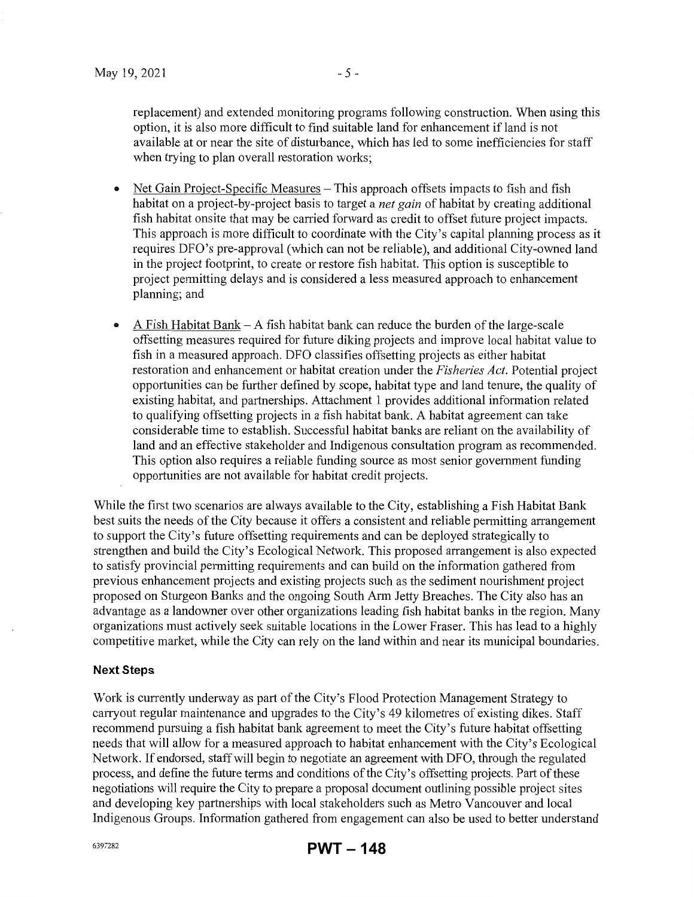replacement) and extended monitoring programs following construction. When using this option, it is also more difficult to find suitable land for enhancement if land is not available at or near the site of disturbance, which has led to some inefficiencies for staff when trying to plan overall restoration works;

- Net Gain Project-Specific Measures This approach offsets impacts to fish and fish habitat on a project-by-project basis to target a *net gain* of habitat by creating additional fish habitat onsite that may be carried forward as credit to offset future project impacts. This approach is more difficult to coordinate with the City's capital planning process as it requires DFO's pre-approval (which can not be reliable), and additional City-owned land in the project footprint, to create or restore fish habitat. This option is susceptible to project permitting delays and is considered a less measured approach to enhancement planning; and
- A Fish Habitat Bank  $-A$  fish habitat bank can reduce the burden of the large-scale offsetting measures required for future diking projects and improve local habitat value to fish in a measured approach. DFO classifies offsetting projects as either habitat restoration and enhancement or habitat creation under the *Fisheries Act.* Potential project opportunities can be further defined by scope, habitat type and land tenure, the quality of existing habitat, and partnerships. Attachment 1 provides additional information related to qualifying offsetting projects in a fish habitat bank. A habitat agreement can take considerable time to establish. Successful habitat banks are reliant on the availability of land and an effective stakeholder and Indigenous consultation program as recommended. This option also requires a reliable funding source as most senior government funding opportunities are not available for habitat credit projects.

While the first two scenarios are always available to the City, establishing a Fish Habitat Bank best suits the needs of the City because it offers a consistent and reliable permitting arrangement to support the City's future offsetting requirements and can be deployed strategically to strengthen and build the City's Ecological Network. This proposed arrangement is also expected to satisfy provincial pennitting requirements and can build on the information gathered from previous enhancement projects and existing projects such as the sediment nourishment project proposed on Sturgeon Banks and the ongoing South Arm Jetty Breaches. The City also has an advantage as a landowner over other organizations leading fish habitat banks in the region. Many organizations must actively seek suitable locations in the Lower Fraser. This has lead to a highly competitive market, while the City can rely on the land within and near its municipal boundaries.

### **Next Steps**

Work is currently underway as part of the City's Flood Protection Management Strategy to carryout regular maintenance and upgrades to the City's 49 kilometres of existing dikes. Staff recommend pursuing a fish habitat bank agreement to meet the City's future habitat offsetting needs that will allow for a measured approach to habitat enhancement with the City's Ecological Network. If endorsed, staff will begin to negotiate an agreement with DFO, through the regulated process, and define the future terms and conditions of the City's offsetting projects. Part of these negotiations will require the City to prepare a proposal document outlining possible project sites and developing key partnerships with local stakeholders such as Metro Vancouver and local Indigenous Groups. Information gathered from engagement can also be used to better understand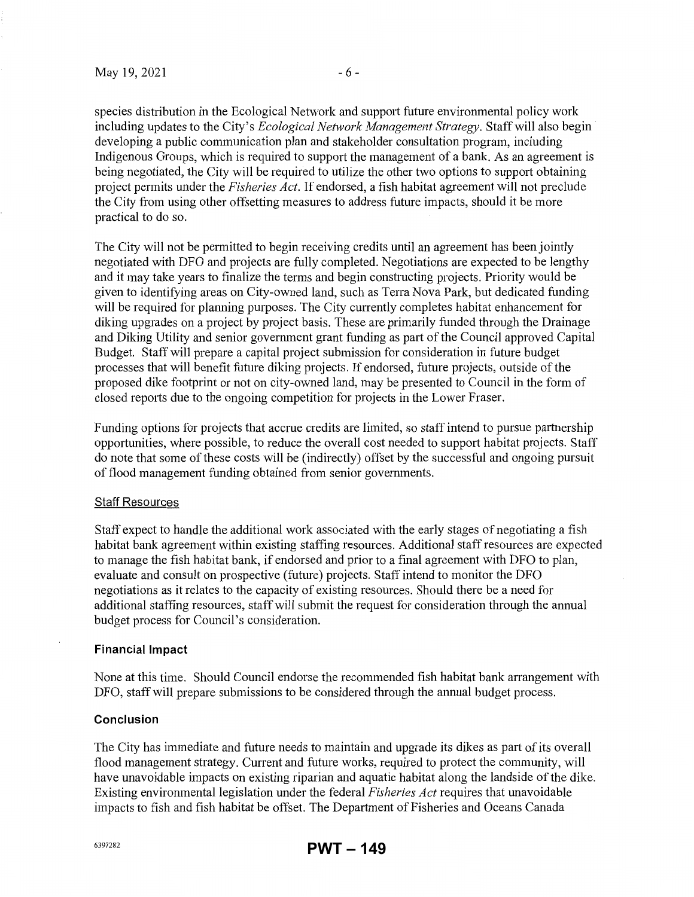species distribution in the Ecological Network and support future environmental policy work including updates to the City's *Ecological Network Management Strategy.* Staff will also begin developing a public communication plan and stakeholder consultation program, including Indigenous Groups, which is required to support the management of a bank. As an agreement is being negotiated, the City will be required to utilize the other two options to support obtaining project permits under the *Fisheries Act.* If endorsed, a fish habitat agreement will not preclude the City from using other offsetting measures to address future impacts, should it be more practical to do so.

The City will not be permitted to begin receiving credits until an agreement has been jointly negotiated with DFO and projects are fully completed. Negotiations are expected to be lengthy and it may take years to finalize the terms and begin constructing projects. Priority would be given to identifying areas on City-owned land, such as Terra Nova Park, but dedicated funding will be required for planning purposes. The City currently completes habitat enhancement for diking upgrades on a project by project basis. These are primarily funded through the Drainage and Diking Utility and senior government grant funding as part of the Council approved Capital Budget. Staff will prepare a capital project submission for consideration in future budget processes that will benefit future diking projects. If endorsed, future projects, outside of the proposed dike footprint or not on city-owned land, may be presented to Council in the form of closed reports due to the ongoing competition for projects in the Lower Fraser.

Funding options for projects that accrue credits are limited, so staff intend to pursue partnership opportunities, where possible, to reduce the overall cost needed to support habitat projects. Staff do note that some of these costs will be (indirectly) offset by the successful and ongoing pursuit of flood management funding obtained from senior govermnents.

#### Staff Resources

Staff expect to handle the additional work associated with the early stages of negotiating a fish habitat bank agreement within existing staffing resources. Additional staff resources are expected to manage the fish habitat bank, if endorsed and prior to a final agreement with DFO to plan, evaluate and consult on prospective (future) projects. Staff intend to monitor the DFO negotiations as it relates to the capacity of existing resources. Should there be a need for additional staffing resources, staff will submit the request for consideration through the annual budget process for Council's consideration.

#### **Financial Impact**

None at this time. Should Council endorse the recommended fish habitat bank arrangement with DFO, staff will prepare submissions to be considered through the annual budget process.

### **Conclusion**

The City has immediate and future needs to maintain and upgrade its dikes as part of its overall flood management strategy. Current and future works, required to protect the community, will have unavoidable impacts on existing riparian and aquatic habitat along the landside of the dike. Existing environmental legislation under the federal *Fisheries Act* requires that unavoidable impacts to fish and fish habitat be offset. The Department of Fisheries and Oceans Canada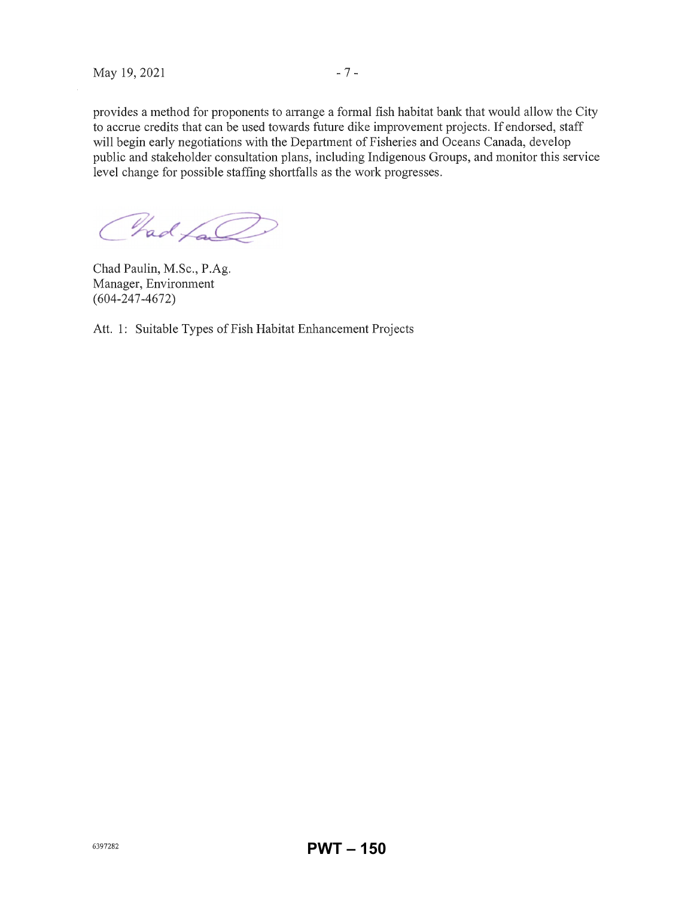provides a method for proponents to arrange a formal fish habitat bank that would allow the City to accrue credits that can be used towards future dike improvement projects. If endorsed, staff will begin early negotiations with the Department of Fisheries and Oceans Canada, develop public and stakeholder consultation plans, including Indigenous Groups, and monitor this service level change for possible staffing shortfalls as the work progresses.

Chad fall

Chad Paulin, M.Sc., P.Ag. Manager, Enviromnent (604-247-4672)

Att. 1: Suitable Types of Fish Habitat Enhancement Projects